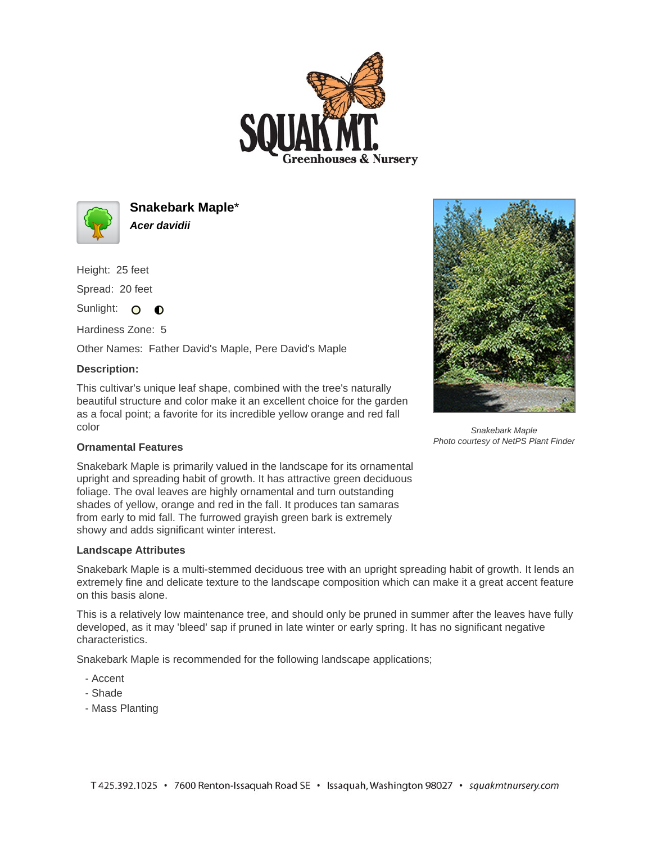



**Snakebark Maple**\* **Acer davidii**

Height: 25 feet Spread: 20 feet

Sunlight: O **O** 

Hardiness Zone: 5

Other Names: Father David's Maple, Pere David's Maple

## **Description:**

This cultivar's unique leaf shape, combined with the tree's naturally beautiful structure and color make it an excellent choice for the garden as a focal point; a favorite for its incredible yellow orange and red fall color



Snakebark Maple Photo courtesy of NetPS Plant Finder

## **Ornamental Features**

Snakebark Maple is primarily valued in the landscape for its ornamental upright and spreading habit of growth. It has attractive green deciduous foliage. The oval leaves are highly ornamental and turn outstanding shades of yellow, orange and red in the fall. It produces tan samaras from early to mid fall. The furrowed grayish green bark is extremely showy and adds significant winter interest.

## **Landscape Attributes**

Snakebark Maple is a multi-stemmed deciduous tree with an upright spreading habit of growth. It lends an extremely fine and delicate texture to the landscape composition which can make it a great accent feature on this basis alone.

This is a relatively low maintenance tree, and should only be pruned in summer after the leaves have fully developed, as it may 'bleed' sap if pruned in late winter or early spring. It has no significant negative characteristics.

Snakebark Maple is recommended for the following landscape applications;

- Accent
- Shade
- Mass Planting